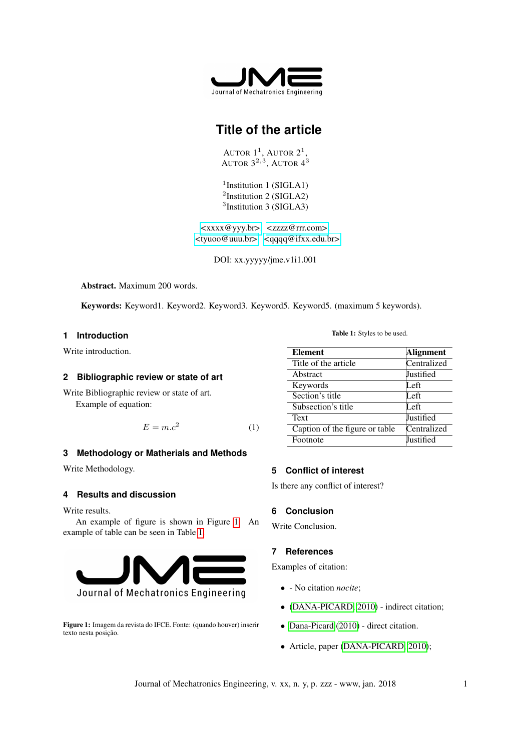

# **Title of the article**

AUTOR  $1^1$ , AUTOR  $2^1$ , AUTOR  $3^{2,3}$ , AUTOR  $4^3$ 

<sup>1</sup>Institution 1 (SIGLA1) <sup>2</sup>Institution 2 (SIGLA2) 3 Institution 3 (SIGLA3)

[<xxxx@yyy.br>,](xxxx@yyy.br) [<zzzz@rrr.com>,](zzzz@rrr.com) [<tyuoo@uuu.br>,](tyuoo@uuu.br) [<qqqq@ifxx.edu.br>](qqqq@ifxx.edu.br)

DOI: xx.yyyyy/jme.v1i1.001

Abstract. Maximum 200 words.

Keywords: Keyword1. Keyword2. Keyword3. Keyword5. Keyword5. (maximum 5 keywords).

# **1 Introduction**

Write introduction.

#### **2 Bibliographic review or state of art**

Write Bibliographic review or state of art. Example of equation:

$$
E = m.c^2 \tag{1}
$$

# **3 Methodology or Matherials and Methods**

Write Methodology.

### **4 Results and discussion**

Write results.

An example of figure is shown in Figure [1.](#page-0-0) An example of table can be seen in Table [1.](#page-0-1)

<span id="page-0-0"></span>

Figure 1: Imagem da revista do IFCE. Fonte: (quando houver) inserir texto nesta posição.

Table 1: Styles to be used.

<span id="page-0-1"></span>

| <b>Element</b>                 | <b>Alignment</b> |
|--------------------------------|------------------|
| Title of the article           | Centralized      |
| Abstract                       | Justified        |
| Keywords                       | Left             |
| Section's title                | I eft            |
| Subsection's title             | I eft            |
| Text                           | Justified        |
| Caption of the figure or table | Centralized      |
| Footnote                       | Justified        |

# **5 Conflict of interest**

Is there any conflict of interest?

# **6 Conclusion**

Write Conclusion.

# **7 References**

Examples of citation:

- - No citation *nocite*;
- [\(DANA-PICARD, 2010\)](#page-1-0) indirect citation;
- [Dana-Picard](#page-1-0) [\(2010\)](#page-1-0) direct citation.
- Article, paper [\(DANA-PICARD, 2010\)](#page-1-0);